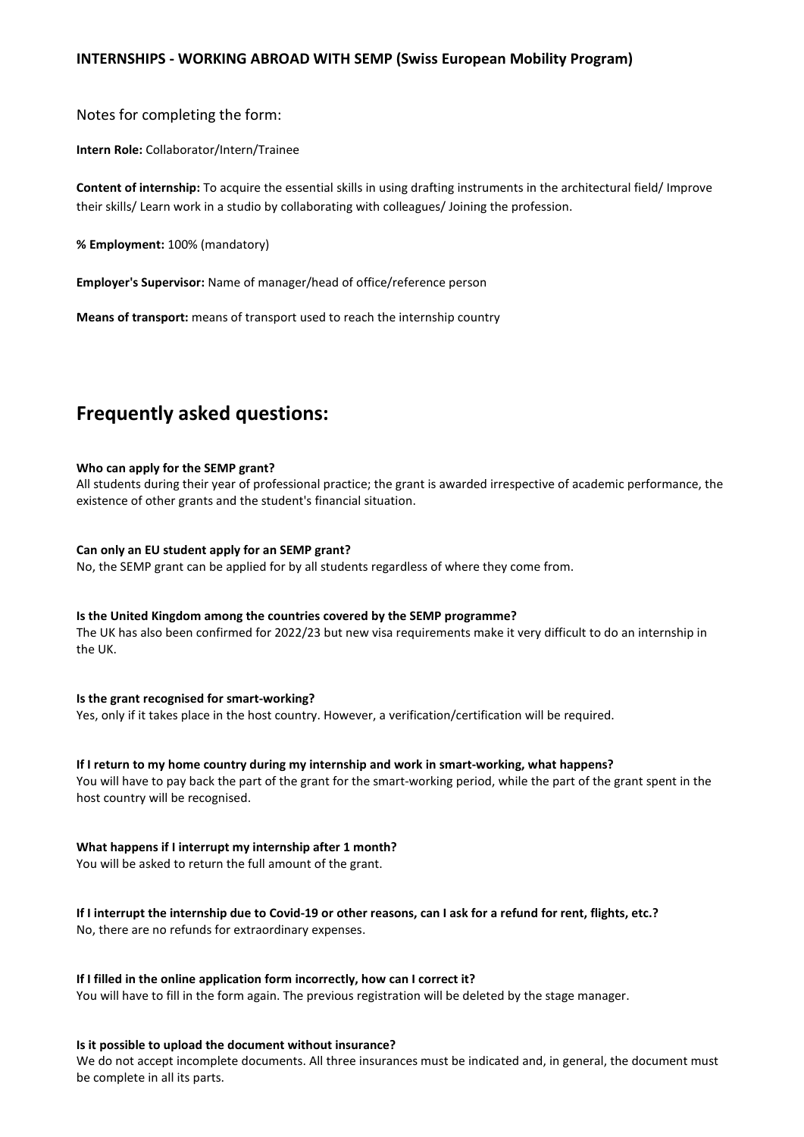Notes for completing the form:

**Intern Role:** Collaborator/Intern/Trainee

**Content of internship:** To acquire the essential skills in using drafting instruments in the architectural field/ Improve their skills/ Learn work in a studio by collaborating with colleagues/ Joining the profession.

**% Employment:** 100% (mandatory)

**Employer's Supervisor:** Name of manager/head of office/reference person

**Means of transport:** means of transport used to reach the internship country

# **Frequently asked questions:**

# **Who can apply for the SEMP grant?**

All students during their year of professional practice; the grant is awarded irrespective of academic performance, the existence of other grants and the student's financial situation.

# **Can only an EU student apply for an SEMP grant?**

No, the SEMP grant can be applied for by all students regardless of where they come from.

# **Is the United Kingdom among the countries covered by the SEMP programme?**

The UK has also been confirmed for 2022/23 but new visa requirements make it very difficult to do an internship in the UK.

# **Is the grant recognised for smart-working?**

Yes, only if it takes place in the host country. However, a verification/certification will be required.

# **If I return to my home country during my internship and work in smart-working, what happens?**

You will have to pay back the part of the grant for the smart-working period, while the part of the grant spent in the host country will be recognised.

# **What happens if I interrupt my internship after 1 month?**

You will be asked to return the full amount of the grant.

# **If I interrupt the internship due to Covid-19 or other reasons, can I ask for a refund for rent, flights, etc.?** No, there are no refunds for extraordinary expenses.

# **If I filled in the online application form incorrectly, how can I correct it?**

You will have to fill in the form again. The previous registration will be deleted by the stage manager.

# **Is it possible to upload the document without insurance?**

We do not accept incomplete documents. All three insurances must be indicated and, in general, the document must be complete in all its parts.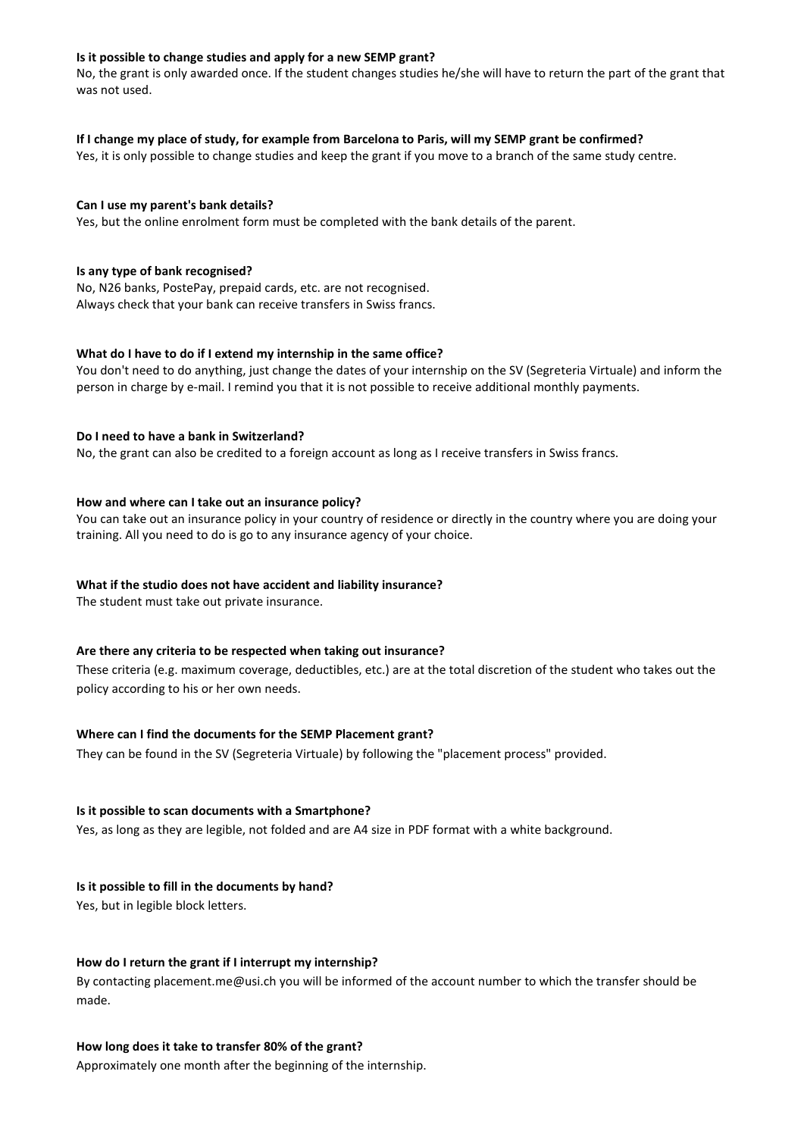# **Is it possible to change studies and apply for a new SEMP grant?**

No, the grant is only awarded once. If the student changes studies he/she will have to return the part of the grant that was not used.

# **If I change my place of study, for example from Barcelona to Paris, will my SEMP grant be confirmed?**

Yes, it is only possible to change studies and keep the grant if you move to a branch of the same study centre.

# **Can I use my parent's bank details?**

Yes, but the online enrolment form must be completed with the bank details of the parent.

# **Is any type of bank recognised?**

No, N26 banks, PostePay, prepaid cards, etc. are not recognised. Always check that your bank can receive transfers in Swiss francs.

# **What do I have to do if I extend my internship in the same office?**

You don't need to do anything, just change the dates of your internship on the SV (Segreteria Virtuale) and inform the person in charge by e-mail. I remind you that it is not possible to receive additional monthly payments.

# **Do I need to have a bank in Switzerland?**

No, the grant can also be credited to a foreign account as long as I receive transfers in Swiss francs.

# **How and where can I take out an insurance policy?**

You can take out an insurance policy in your country of residence or directly in the country where you are doing your training. All you need to do is go to any insurance agency of your choice.

# **What if the studio does not have accident and liability insurance?**

The student must take out private insurance.

# **Are there any criteria to be respected when taking out insurance?**

These criteria (e.g. maximum coverage, deductibles, etc.) are at the total discretion of the student who takes out the policy according to his or her own needs.

# **Where can I find the documents for the SEMP Placement grant?**

They can be found in the SV (Segreteria Virtuale) by following the "placement process" provided.

# **Is it possible to scan documents with a Smartphone?**

Yes, as long as they are legible, not folded and are A4 size in PDF format with a white background.

# **Is it possible to fill in the documents by hand?**

Yes, but in legible block letters.

# **How do I return the grant if I interrupt my internship?**

By contacting placement.me@usi.ch you will be informed of the account number to which the transfer should be made.

# **How long does it take to transfer 80% of the grant?**

Approximately one month after the beginning of the internship.